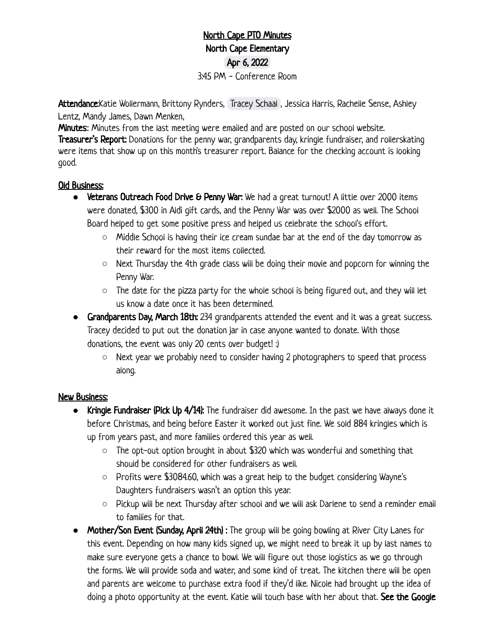## North Cape PTO Minutes North Cape Elementary Apr 6, 2022 3:45 PM - Conference Room

Attendance:Katie Wollermann, Brittony Rynders, [Tracey Schaal](mailto:traceyschaal@gmail.com), Jessica Harris, Rachelle Sense, Ashley Lentz, Mandy James, Dawn Menken,

Minutes: Minutes from the last meeting were emailed and are posted on our school website.

Treasurer's Report: Donations for the penny war, grandparents day, kringle fundraiser, and rollerskating were items that show up on this month's treasurer report. Balance for the checking account is looking good.

## Old Business:

- **●** Veterans Outreach Food Drive & Penny War: We had a great turnout! A little over 2000 items were donated, \$300 in Aldi gift cards, and the Penny War was over \$2000 as well. The School Board helped to get some positive press and helped us celebrate the school's effort.
	- Middle School is having their ice cream sundae bar at the end of the day tomorrow as their reward for the most items collected.
	- Next Thursday the 4th grade class will be doing their movie and popcorn for winning the Penny War.
	- $\circ$  The date for the pizza party for the whole school is being figured out, and they will let us know a date once it has been determined.
- **●** Grandparents Day, March 18th: 234 grandparents attended the event and it was a great success. Tracey decided to put out the donation jar in case anyone wanted to donate. With those donations, the event was only 20 cents over budget! :)
	- Next year we probably need to consider having 2 photographers to speed that process along.

## New Business:

- **●** Kringle Fundraiser (Pick Up 4/14): The fundraiser did awesome. In the past we have always done it before Christmas, and being before Easter it worked out just fine. We sold 884 kringles which is up from years past, and more families ordered this year as well.
	- The opt-out option brought in about \$320 which was wonderful and something that should be considered for other fundraisers as well.
	- Profits were \$3084.60, which was a great help to the budget considering Wayne's Daughters fundraisers wasn't an option this year.
	- Pickup will be next Thursday after school and we will ask Darlene to send a reminder email to families for that.
- **●** Mother/Son Event (Sunday, April 24th) : The group will be going bowling at River City Lanes for this event. Depending on how many kids signed up, we might need to break it up by last names to make sure everyone gets a chance to bowl. We will figure out those logistics as we go through the forms. We will provide soda and water, and some kind of treat. The kitchen there will be open and parents are welcome to purchase extra food if they'd like. Nicole had brought up the idea of doing a photo opportunity at the event. Katie will touch base with her about that. See the Google